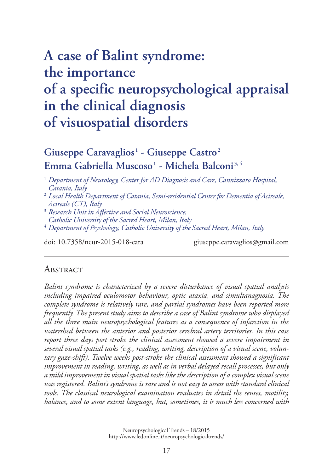# **A case of Balint syndrome: the importance [of a specific neuropsychological appraisal](http://www.ledonline.it/neuropsychologicaltrends/) in the clinical diagnosis of visuospatial disorders**

# **Giuseppe Caravaglios <sup>1</sup> - Giuseppe Castro <sup>2</sup> Emma Gabriella Muscoso <sup>1</sup> - Michela Balconi 3, 4**

- <sup>2</sup> *Local Health Department of Catania, Semi-residential Center for Dementia of Acireale, Acireale (CT), Italy*
- <sup>3</sup> *Research Unit in Affective and Social Neuroscience, Catholic University of the Sacred Heart, Milan, Italy*
- <sup>4</sup> *Department of Psychology, Catholic University of the Sacred Heart, Milan, Italy*

doi: 10.7358/neur-2015-018-cara giuseppe.caravaglios@gmail.com

#### **ABSTRACT**

*Balint syndrome is characterized by a severe disturbance of visual spatial analysis including impaired oculomotor behaviour, optic ataxia, and simultanagnosia. The complete syndrome is relatively rare, and partial syndromes have been reported more frequently. The present study aims to describe a case of Balint syndrome who displayed all the three main neuropsychological features as a consequence of infarction in the watershed between the anterior and posterior cerebral artery territories. In this case report three days post stroke the clinical assessment showed a severe impairment in several visual spatial tasks (e.g., reading, writing, description of a visual scene, voluntary gaze-shift). Twelve weeks post-stroke the clinical assessment showed a significant improvement in reading, writing, as well as in verbal delayed recall processes, but only a mild improvement in visual spatial tasks like the description of a complex visual scene was registered. Balint's syndrome is rare and is not easy to assess with standard clinical tools. The classical neurological examination evaluates in detail the senses, motility, balance, and to some extent language, but, sometimes, it is much less concerned with* 

> Neuropsychological Trends – 18/2015 [http://www.ledonline.it/neuropsychologicaltrends/](http://www.ledonline.it/NeuropsychologicalTrends/18-2015.html)

<sup>1</sup> *Department of Neurology, Center for AD Diagnosis and Care, Cannizzaro Hospital, Catania, Italy*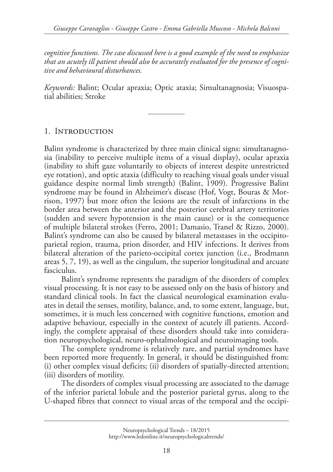*cognitive functions. The case discussed here is a good example of the need to emphasize that an acutely ill patient should also be accurately evaluated for the presence of cognitive and behavioural disturbances.*

*Keywords:* Balint; Ocular apraxia; Optic ataxia; Simultanagnosia; Visuospatial abilities; Stroke

# 1. Introduction

Balint syndrome is characterized by three main clinical signs: simultanagnosia (inability to perceive multiple items of a visual display), ocular apraxia (inability to shift gaze voluntarily to objects of interest despite unrestricted eye rotation), and optic ataxia (difficulty to reaching visual goals under visual guidance despite normal limb strength) (Balint, 1909). Progressive Balint syndrome may be found in Alzheimer's disease (Hof, Vogt, Bouras & Morrison, 1997) but more often the lesions are the result of infarctions in the border area between the anterior and the posterior cerebral artery territories (sudden and severe hypotension is the main cause) or is the consequence of multiple bilateral strokes (Ferro, 2001; Damasio, Tranel & Rizzo, 2000). Balint's syndrome can also be caused by bilateral metastases in the occipitoparietal region, trauma, prion disorder, and HIV infections. It derives from bilateral alteration of the parieto-occipital cortex junction (i.e., Brodmann areas 5, 7, 19), as well as the cingulum, the superior longitudinal and arcuate fasciculus.

Balint's syndrome represents the paradigm of the disorders of complex visual processing. It is not easy to be assessed only on the basis of history and standard clinical tools. In fact the classical neurological examination evaluates in detail the senses, motility, balance, and, to some extent, language, but, sometimes, it is much less concerned with cognitive functions, emotion and adaptive behaviour, especially in the context of acutely ill patients. Accordingly, the complete appraisal of these disorders should take into consideration neuropsychological, neuro-ophtalmological and neuroimaging tools.

The complete syndrome is relatively rare, and partial syndromes have been reported more frequently. In general, it should be distinguished from: (i) other complex visual deficits; (ii) disorders of spatially-directed attention; (iii) disorders of motility.

The disorders of complex visual processing are associated to the damage of the inferior parietal lobule and the posterior parietal gyrus, along to the U-shaped fibres that connect to visual areas of the temporal and the occipi-

Neuropsychological Trends – 18/2015 [http://www.ledonline.it/neuropsychologicaltrends/](http://www.ledonline.it/NeuropsychologicalTrends/18-2015.html)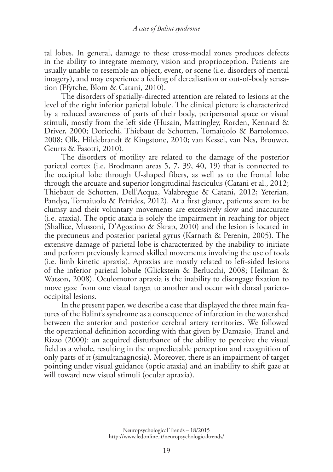tal lobes. In general, damage to these cross-modal zones produces defects in the ability to integrate memory, vision and proprioception. Patients are usually unable to resemble an object, event, or scene (i.e. disorders of mental imagery), and may experience a feeling of derealisation or out-of-body sensation (Ffytche, Blom & Catani, 2010).

The disorders of spatially-directed attention are related to lesions at the level of the right inferior parietal lobule. The clinical picture is characterized by a reduced awareness of parts of their body, peripersonal space or visual stimuli, mostly from the left side (Husain, Mattingley, Rorden, Kennard & Driver, 2000; Doricchi, Thiebaut de Schotten, Tomaiuolo & Bartolomeo, 2008; Olk, Hildebrandt & Kingstone, 2010; van Kessel, van Nes, Brouwer, Geurts & Fasotti, 2010).

The disorders of motility are related to the damage of the posterior parietal cortex (i.e. Brodmann areas 5, 7, 39, 40, 19) that is connected to the occipital lobe through U-shaped fibers, as well as to the frontal lobe through the arcuate and superior longitudinal fasciculus (Catani et al., 2012; Thiebaut de Schotten, Dell'Acqua, Valabregue & Catani, 2012; Yeterian, Pandya, Tomaiuolo & Petrides, 2012). At a first glance, patients seem to be clumsy and their voluntary movements are excessively slow and inaccurate (i.e. ataxia). The optic ataxia is solely the impairment in reaching for object (Shallice, Mussoni, D'Agostino & Skrap, 2010) and the lesion is located in the precuneus and posterior parietal gyrus (Karnath & Perenin, 2005). The extensive damage of parietal lobe is characterized by the inability to initiate and perform previously learned skilled movements involving the use of tools (i.e. limb kinetic apraxia). Apraxias are mostly related to left-sided lesions of the inferior parietal lobule (Glickstein & Berlucchi, 2008; Heilman & Watson, 2008). Oculomotor apraxia is the inability to disengage fixation to move gaze from one visual target to another and occur with dorsal parietooccipital lesions.

In the present paper, we describe a case that displayed the three main features of the Balint's syndrome as a consequence of infarction in the watershed between the anterior and posterior cerebral artery territories. We followed the operational definition according with that given by Damasio, Tranel and Rizzo (2000): an acquired disturbance of the ability to perceive the visual field as a whole, resulting in the unpredictable perception and recognition of only parts of it (simultanagnosia). Moreover, there is an impairment of target pointing under visual guidance (optic ataxia) and an inability to shift gaze at will toward new visual stimuli (ocular apraxia).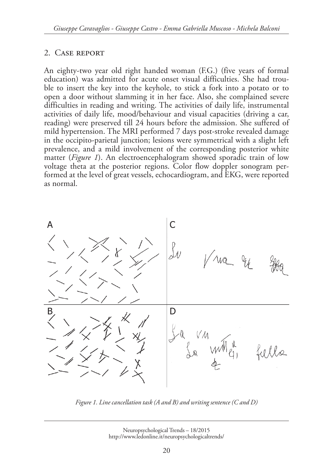#### 2. Case report

An eighty-two year old right handed woman (F.G.) (five years of formal education) was admitted for acute onset visual difficulties. She had trouble to insert the key into the keyhole, to stick a fork into a potato or to open a door without slamming it in her face. Also, she complained severe difficulties in reading and writing. The activities of daily life, instrumental activities of daily life, mood/behaviour and visual capacities (driving a car, reading) were preserved till 24 hours before the admission. She suffered of mild hypertension. The MRI performed 7 days post-stroke revealed damage in the occipito-parietal junction; lesions were symmetrical with a slight left prevalence, and a mild involvement of the corresponding posterior white matter (*Figure 1*). An electroencephalogram showed sporadic train of low voltage theta at the posterior regions. Color flow doppler sonogram performed at the level of great vessels, echocardiogram, and EKG, were reported as normal.



*Figure 1. Line cancellation task (A and B) and writing sentence (C and D)*

Neuropsychological Trends – 18/2015 [http://www.ledonline.it/neuropsychologicaltrends/](http://www.ledonline.it/NeuropsychologicalTrends/18-2015.html)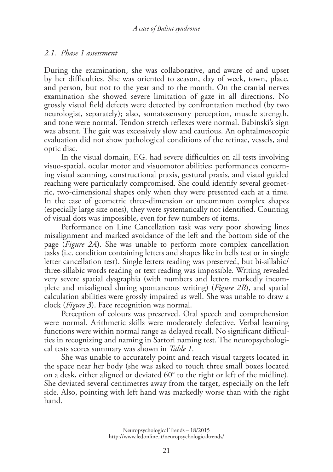#### *2.1. Phase 1 assessment*

During the examination, she was collaborative, and aware of and upset by her difficulties. She was oriented to season, day of week, town, place, and person, but not to the year and to the month. On the cranial nerves examination she showed severe limitation of gaze in all directions. No grossly visual field defects were detected by confrontation method (by two neurologist, separately); also, somatosensory perception, muscle strength, and tone were normal. Tendon stretch reflexes were normal. Babinski's sign was absent. The gait was excessively slow and cautious. An ophtalmoscopic evaluation did not show pathological conditions of the retinae, vessels, and optic disc.

In the visual domain, F.G. had severe difficulties on all tests involving visuo-spatial, ocular motor and visuomotor abilities; performances concerning visual scanning, constructional praxis, gestural praxis, and visual guided reaching were particularly compromised. She could identify several geometric, two-dimensional shapes only when they were presented each at a time. In the case of geometric three-dimension or uncommon complex shapes (especially large size ones), they were systematically not identified. Counting of visual dots was impossible, even for few numbers of items.

Performance on Line Cancellation task was very poor showing lines misalignment and marked avoidance of the left and the bottom side of the page (*Figure 2A*). She was unable to perform more complex cancellation tasks (i.e. condition containing letters and shapes like in bells test or in single letter cancellation test). Single letters reading was preserved, but bi-sillabic/ three-sillabic words reading or text reading was impossible. Writing revealed very severe spatial dysgraphia (with numbers and letters markedly incomplete and misaligned during spontaneous writing) (*Figure 2B*), and spatial calculation abilities were grossly impaired as well. She was unable to draw a clock (*Figure 3*). Face recognition was normal.

Perception of colours was preserved. Oral speech and comprehension were normal. Arithmetic skills were moderately defective. Verbal learning functions were within normal range as delayed recall. No significant difficulties in recognizing and naming in Sartori naming test. The neuropsychological tests scores summary was shown in *Table 1*.

She was unable to accurately point and reach visual targets located in the space near her body (she was asked to touch three small boxes located on a desk, either aligned or deviated 60° to the right or left of the midline). She deviated several centimetres away from the target, especially on the left side. Also, pointing with left hand was markedly worse than with the right hand.

Neuropsychological Trends – 18/2015 [http://www.ledonline.it/neuropsychologicaltrends/](http://www.ledonline.it/NeuropsychologicalTrends/18-2015.html)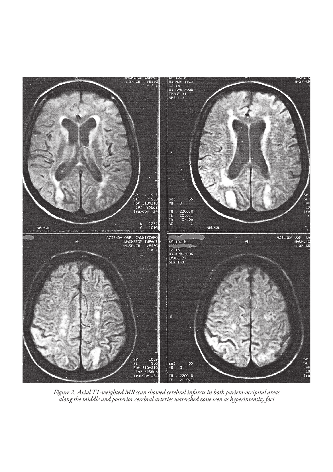

*Figure 2. Axial T1-weighted MR scan showed cerebral infarcts in both parieto-occipital areas along the middle and posterior cerebral arteries watershed zone seen as hyperintensity foci*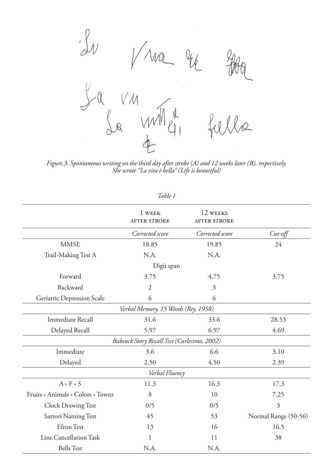

*Figure 3. Spontaneous writing on the third day after stroke (A) and 12 weeks later (B), respectively. She wrote "La vita è bella" (Life is beautiful)*

| 1 avie                            |                                             |                                 |                      |
|-----------------------------------|---------------------------------------------|---------------------------------|----------------------|
|                                   | 1 WEEK<br><b>AFTER STROKE</b>               | 12 WEEKS<br><b>AFTER STROKE</b> |                      |
|                                   | Corrected score                             | Corrected score                 | $Cut$ -off           |
| <b>MMSE</b>                       | 18.85                                       | 19.85                           | 24                   |
| Trail-Making Test A               | N.A.                                        | N.A.                            |                      |
|                                   | Digit span                                  |                                 |                      |
| Forward                           | 3.75                                        | 4.75                            | 3.75                 |
| Backward                          | $\overline{2}$                              | 3                               |                      |
| Geriatric Depression Scale        | 6                                           | 6                               |                      |
|                                   | Verbal Memory, 15 Words (Rey, 1958)         |                                 |                      |
| <b>Immediate Recall</b>           | 31.6                                        | 33.6                            | 28.53                |
| Delayed Recall                    | 5.97                                        | 6.97                            | 4.69                 |
|                                   | Babcock Story Recall Test (Carlesimo, 2002) |                                 |                      |
| Immediate                         | 3.6                                         | 6.6                             | 3.10                 |
| Delayed                           | 2.50                                        | 4.50                            | 2.39                 |
|                                   | Verbal Fluency                              |                                 |                      |
| $A + F + S$                       | 11.3                                        | 16.3                            | 17.3                 |
| Fruits + Animals + Colors + Towns | 8                                           | 10                              | 7.25                 |
| Clock Drawing Test                | 0/5                                         | 0/5                             | 3                    |
| Sartori Naming Test               | 45                                          | 53                              | Normal Range (50-56) |
| Efron Test                        | 13                                          | 16                              | 16.5                 |
| Line Cancellation Task            | 1                                           | 11                              | 38                   |
| <b>Bells</b> Test                 | N.A.                                        | N.A.                            |                      |

*Table 1*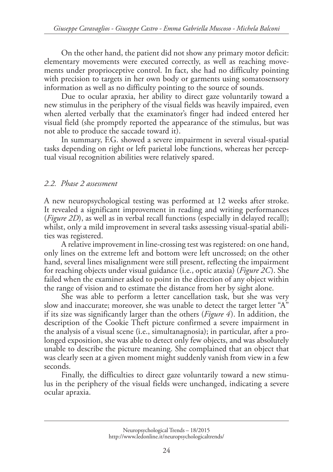On the other hand, the patient did not show any primary motor deficit: elementary movements were executed correctly, as well as reaching movements under proprioceptive control. In fact, she had no difficulty pointing with precision to targets in her own body or garments using somatosensory information as well as no difficulty pointing to the source of sounds.

Due to ocular apraxia, her ability to direct gaze voluntarily toward a new stimulus in the periphery of the visual fields was heavily impaired, even when alerted verbally that the examinator's finger had indeed entered her visual field (she promptly reported the appearance of the stimulus, but was not able to produce the saccade toward it).

In summary, F.G. showed a severe impairment in several visual-spatial tasks depending on right or left parietal lobe functions, whereas her perceptual visual recognition abilities were relatively spared.

## *2.2. Phase 2 assessment*

A new neuropsychological testing was performed at 12 weeks after stroke. It revealed a significant improvement in reading and writing performances (*Figure 2D*), as well as in verbal recall functions (especially in delayed recall); whilst, only a mild improvement in several tasks assessing visual-spatial abilities was registered.

A relative improvement in line-crossing test was registered: on one hand, only lines on the extreme left and bottom were left uncrossed; on the other hand, several lines misalignment were still present, reflecting the impairment for reaching objects under visual guidance (i.e., optic ataxia) (*Figure 2C*). She failed when the examiner asked to point in the direction of any object within the range of vision and to estimate the distance from her by sight alone.

She was able to perform a letter cancellation task, but she was very slow and inaccurate; moreover, she was unable to detect the target letter "A" if its size was significantly larger than the others (*Figure 4*). In addition, the description of the Cookie Theft picture confirmed a severe impairment in the analysis of a visual scene (i.e., simultanagnosia); in particular, after a prolonged exposition, she was able to detect only few objects, and was absolutely unable to describe the picture meaning. She complained that an object that was clearly seen at a given moment might suddenly vanish from view in a few seconds.

Finally, the difficulties to direct gaze voluntarily toward a new stimulus in the periphery of the visual fields were unchanged, indicating a severe ocular apraxia.

Neuropsychological Trends – 18/2015 [http://www.ledonline.it/neuropsychologicaltrends/](http://www.ledonline.it/NeuropsychologicalTrends/18-2015.html)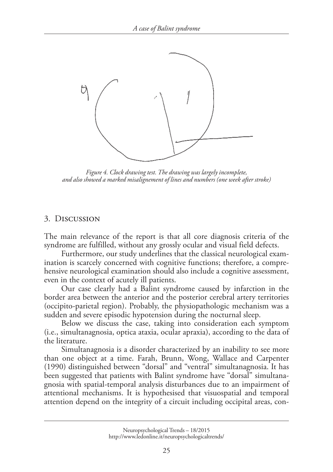

*Figure 4. Clock drawing test. The drawing was largely incomplete, and also showed a marked misalignement of lines and numbers (one week after stroke)*

#### 3. Discussion

The main relevance of the report is that all core diagnosis criteria of the syndrome are fulfilled, without any grossly ocular and visual field defects.

Furthermore, our study underlines that the classical neurological examination is scarcely concerned with cognitive functions; therefore, a comprehensive neurological examination should also include a cognitive assessment, even in the context of acutely ill patients.

Our case clearly had a Balint syndrome caused by infarction in the border area between the anterior and the posterior cerebral artery territories (occipito-parietal region). Probably, the physiopathologic mechanism was a sudden and severe episodic hypotension during the nocturnal sleep.

Below we discuss the case, taking into consideration each symptom (i.e., simultanagnosia, optica ataxia, ocular apraxia), according to the data of the literature.

Simultanagnosia is a disorder characterized by an inability to see more than one object at a time. Farah, Brunn, Wong, Wallace and Carpenter (1990) distinguished between "dorsal" and "ventral" simultanagnosia. It has been suggested that patients with Balint syndrome have "dorsal" simultanagnosia with spatial-temporal analysis disturbances due to an impairment of attentional mechanisms. It is hypothesised that visuospatial and temporal attention depend on the integrity of a circuit including occipital areas, con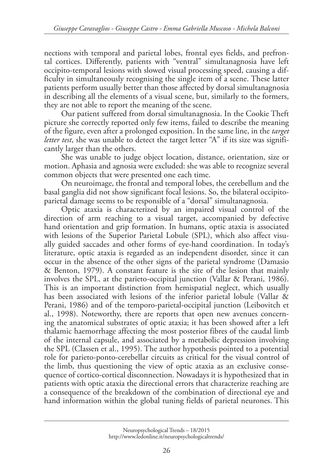nections with temporal and parietal lobes, frontal eyes fields, and prefrontal cortices. Differently, patients with "ventral" simultanagnosia have left occipito-temporal lesions with slowed visual processing speed, causing a difficulty in simultaneously recognising the single item of a scene. These latter patients perform usually better than those affected by dorsal simultanagnosia in describing all the elements of a visual scene, but, similarly to the formers, they are not able to report the meaning of the scene.

Our patient suffered from dorsal simultanagnosia. In the Cookie Theft picture she correctly reported only few items, failed to describe the meaning of the figure, even after a prolonged exposition. In the same line, in the *target letter test*, she was unable to detect the target letter "A" if its size was significantly larger than the others.

She was unable to judge object location, distance, orientation, size or motion. Aphasia and agnosia were excluded: she was able to recognize several common objects that were presented one each time.

On neuroimage, the frontal and temporal lobes, the cerebellum and the basal ganglia did not show significant focal lesions. So, the bilateral occipitoparietal damage seems to be responsible of a "dorsal" simultanagnosia.

Optic ataxia is characterized by an impaired visual control of the direction of arm reaching to a visual target, accompanied by defective hand orientation and grip formation. In humans, optic ataxia is associated with lesions of the Superior Parietal Lobule (SPL), which also affect visually guided saccades and other forms of eye-hand coordination. In today's literature, optic ataxia is regarded as an independent disorder, since it can occur in the absence of the other signs of the parietal syndrome (Damasio & Benton, 1979). A constant feature is the site of the lesion that mainly involves the SPL, at the parieto-occipital junction (Vallar & Perani, 1986). This is an important distinction from hemispatial neglect, which usually has been associated with lesions of the inferior parietal lobule (Vallar & Perani, 1986) and of the temporo-parietal-occipital junction (Leibovitch et al., 1998). Noteworthy, there are reports that open new avenues concerning the anatomical substrates of optic ataxia; it has been showed after a left thalamic haemorrhage affecting the most posterior fibres of the caudal limb of the internal capsule, and associated by a metabolic depression involving the SPL (Classen et al., 1995). The author hypothesis pointed to a potential role for parieto-ponto-cerebellar circuits as critical for the visual control of the limb, thus questioning the view of optic ataxia as an exclusive consequence of cortico-cortical disconnection. Nowadays it is hypothesized that in patients with optic ataxia the directional errors that characterize reaching are a consequence of the breakdown of the combination of directional eye and hand information within the global tuning fields of parietal neurones. This

Neuropsychological Trends – 18/2015 [http://www.ledonline.it/neuropsychologicaltrends/](http://www.ledonline.it/NeuropsychologicalTrends/18-2015.html)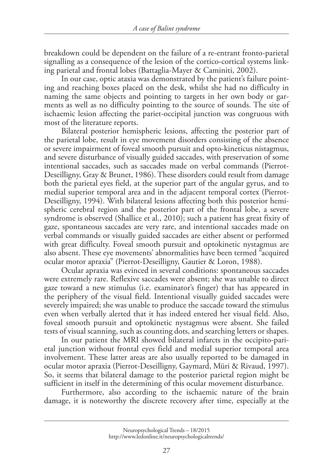breakdown could be dependent on the failure of a re-entrant fronto-parietal signalling as a consequence of the lesion of the cortico-cortical systems linking parietal and frontal lobes (Battaglia-Mayer & Caminiti, 2002).

In our case, optic ataxia was demonstrated by the patient's failure pointing and reaching boxes placed on the desk, whilst she had no difficulty in naming the same objects and pointing to targets in her own body or garments as well as no difficulty pointing to the source of sounds. The site of ischaemic lesion affecting the pariet-occipital junction was congruous with most of the literature reports.

Bilateral posterior hemispheric lesions, affecting the posterior part of the parietal lobe, result in eye movement disorders consisting of the absence or severe impairment of foveal smooth pursuit and opto-kineticus nistagmus, and severe disturbance of visually guided saccades, with preservation of some intentional saccades, such as saccades made on verbal commands (Pierrot-Deseilligny, Gray & Brunet, 1986). These disorders could result from damage both the parietal eyes field, at the superior part of the angular gyrus, and to medial superior temporal area and in the adjacent temporal cortex (Pierrot-Deseilligny, 1994). With bilateral lesions affecting both this posterior hemispheric cerebral region and the posterior part of the frontal lobe, a severe syndrome is observed (Shallice et al., 2010); such a patient has great fixity of gaze, spontaneous saccades are very rare, and intentional saccades made on verbal commands or visually guided saccades are either absent or performed with great difficulty. Foveal smooth pursuit and optokinetic nystagmus are also absent. These eye movements' abnormalities have been termed "acquired ocular motor apraxia" (Pierrot-Deseilligny, Gautier & Loron, 1988).

Ocular apraxia was evinced in several conditions: spontaneous saccades were extremely rare. Reflexive saccades were absent; she was unable to direct gaze toward a new stimulus (i.e. examinator's finger) that has appeared in the periphery of the visual field. Intentional visually guided saccades were severely impaired; she was unable to produce the saccade toward the stimulus even when verbally alerted that it has indeed entered her visual field. Also, foveal smooth pursuit and optokinetic nystagmus were absent. She failed tests of visual scanning, such as counting dots, and searching letters or shapes.

In our patient the MRI showed bilateral infarcts in the occipito-parietal junction without frontal eyes field and medial superior temporal area involvement. These latter areas are also usually reported to be damaged in ocular motor apraxia (Pierrot-Deseilligny, Gaymard, Müri & Rivaud, 1997). So, it seems that bilateral damage to the posterior parietal region might be sufficient in itself in the determining of this ocular movement disturbance.

Furthermore, also according to the ischaemic nature of the brain damage, it is noteworthy the discrete recovery after time, especially at the

Neuropsychological Trends – 18/2015 [http://www.ledonline.it/neuropsychologicaltrends/](http://www.ledonline.it/NeuropsychologicalTrends/18-2015.html)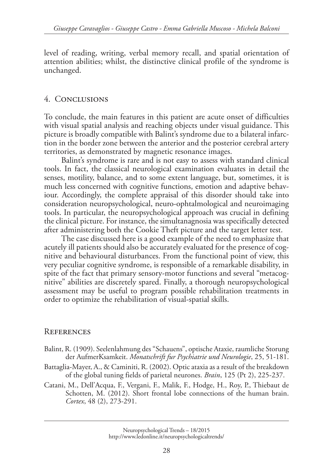level of reading, writing, verbal memory recall, and spatial orientation of attention abilities; whilst, the distinctive clinical profile of the syndrome is unchanged.

### 4. Conclusions

To conclude, the main features in this patient are acute onset of difficulties with visual spatial analysis and reaching objects under visual guidance. This picture is broadly compatible with Balint's syndrome due to a bilateral infarction in the border zone between the anterior and the posterior cerebral artery territories, as demonstrated by magnetic resonance images.

Balint's syndrome is rare and is not easy to assess with standard clinical tools. In fact, the classical neurological examination evaluates in detail the senses, motility, balance, and to some extent language, but, sometimes, it is much less concerned with cognitive functions, emotion and adaptive behaviour. Accordingly, the complete appraisal of this disorder should take into consideration neuropsychological, neuro-ophtalmological and neuroimaging tools. In particular, the neuropsychological approach was crucial in defining the clinical picture. For instance, the simultanagnosia was specifically detected after administering both the Cookie Theft picture and the target letter test.

The case discussed here is a good example of the need to emphasize that acutely ill patients should also be accurately evaluated for the presence of cognitive and behavioural disturbances. From the functional point of view, this very peculiar cognitive syndrome, is responsible of a remarkable disability, in spite of the fact that primary sensory-motor functions and several "metacognitive" abilities are discretely spared. Finally, a thorough neuropsychological assessment may be useful to program possible rehabilitation treatments in order to optimize the rehabilitation of visual-spatial skills.

# **REFERENCES**

- Balint, R. (1909). Seelenlahmung des "Schauens", optische Ataxie, raumliche Storung der AufmerKsamkeit. *Monatschrift fur Psychiatrie und Neurologie*, 25, 51-181.
- Battaglia-Mayer, A., & Caminiti, R. (2002). Optic ataxia as a result of the breakdown of the global tuning fields of parietal neurones. *Brain*, 125 (Pt 2), 225-237.
- Catani, M., Dell'Acqua, F., Vergani, F., Malik, F., Hodge, H., Roy, P., Thiebaut de Schotten, M. (2012). Short frontal lobe connections of the human brain. *Cortex*, 48 (2), 273-291.

Neuropsychological Trends – 18/2015 [http://www.ledonline.it/neuropsychologicaltrends/](http://www.ledonline.it/NeuropsychologicalTrends/18-2015.html)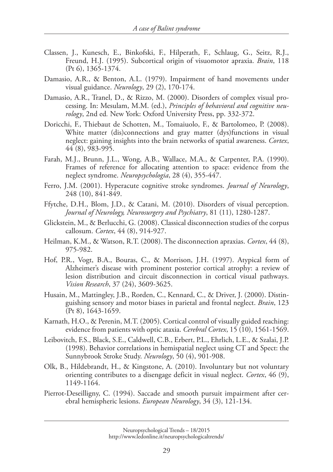- Classen, J., Kunesch, E., Binkofski, F., Hilperath, F., Schlaug, G., Seitz, R.J., Freund, H.J. (1995). Subcortical origin of visuomotor apraxia. *Brain*, 118 (Pt 6), 1365-1374.
- Damasio, A.R., & Benton, A.L. (1979). Impairment of hand movements under visual guidance. *Neurology*, 29 (2), 170-174.
- Damasio, A.R., Tranel, D., & Rizzo, M. (2000). Disorders of complex visual processing. In: Mesulam, M.M. (ed.), *Principles of behavioral and cognitive neurology*, 2nd ed*.* New York: Oxford University Press, pp. 332-372.
- Doricchi, F., Thiebaut de Schotten, M., Tomaiuolo, F., & Bartolomeo, P. (2008). White matter (dis)connections and gray matter (dys)functions in visual neglect: gaining insights into the brain networks of spatial awareness. *Cortex*, 44 (8), 983-995.
- Farah, M.J., Brunn, J.L., Wong, A.B., Wallace, M.A., & Carpenter, P.A. (1990). Frames of reference for allocating attention to space: evidence from the neglect syndrome. *Neuropsychologia*, 28 (4), 355-447.
- Ferro, J.M. (2001). Hyperacute cognitive stroke syndromes. *Journal of Neurology*, 248 (10), 841-849.
- Ffytche, D.H., Blom, J.D., & Catani, M. (2010). Disorders of visual perception. *Journal of Neurology, Neurosurgery and Psychiatry*, 81 (11), 1280-1287.
- Glickstein, M., & Berlucchi, G. (2008). Classical disconnection studies of the corpus callosum. *Cortex*, 44 (8), 914-927.
- Heilman, K.M., & Watson, R.T. (2008). The disconnection apraxias. *Cortex*, 44 (8), 975-982.
- Hof, P.R., Vogt, B.A., Bouras, C., & Morrison, J.H. (1997). Atypical form of Alzheimer's disease with prominent posterior cortical atrophy: a review of lesion distribution and circuit disconnection in cortical visual pathways. *Vision Research*, 37 (24), 3609-3625.
- Husain, M., Mattingley, J.B., Rorden, C., Kennard, C., & Driver, J. (2000). Distinguishing sensory and motor biases in parietal and frontal neglect. *Brain*, 123 (Pt 8), 1643-1659.
- Karnath, H.O., & Perenin, M.T. (2005). Cortical control of visually guided reaching: evidence from patients with optic ataxia. *Cerebral Cortex*, 15 (10), 1561-1569.
- Leibovitch, F.S., Black, S.E., Caldwell, C.B., Erbert, P.L., Ehrlich, L.E., & Szalai, J.P. (1998). Behavior correlations in hemispatial neglect using CT and Spect: the Sunnybrook Stroke Study. *Neurology*, 50 (4), 901-908.
- Olk, B., Hildebrandt, H., & Kingstone, A. (2010). Involuntary but not voluntary orienting contributes to a disengage deficit in visual neglect. *Cortex*, 46 (9), 1149-1164.
- Pierrot-Deseilligny, C. (1994). Saccade and smooth pursuit impairment after cerebral hemispheric lesions. *European Neurology*, 34 (3), 121-134.

Neuropsychological Trends – 18/2015 [http://www.ledonline.it/neuropsychologicaltrends/](http://www.ledonline.it/NeuropsychologicalTrends/18-2015.html)